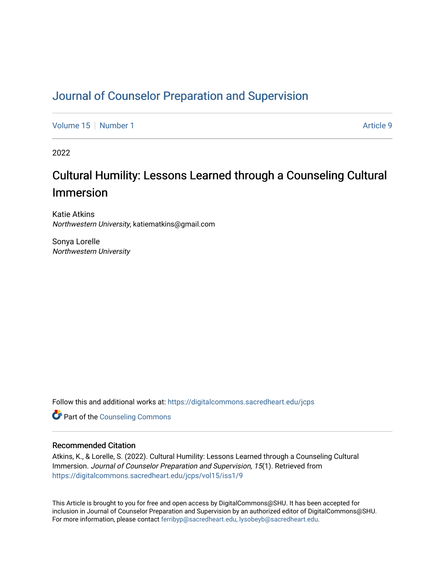# [Journal of Counselor Preparation and Supervision](https://digitalcommons.sacredheart.edu/jcps)

[Volume 15](https://digitalcommons.sacredheart.edu/jcps/vol15) [Number 1](https://digitalcommons.sacredheart.edu/jcps/vol15/iss1) Article 9

2022

# Cultural Humility: Lessons Learned through a Counseling Cultural Immersion

Katie Atkins Northwestern University, katiematkins@gmail.com

Sonya Lorelle Northwestern University

Follow this and additional works at: [https://digitalcommons.sacredheart.edu/jcps](https://digitalcommons.sacredheart.edu/jcps?utm_source=digitalcommons.sacredheart.edu%2Fjcps%2Fvol15%2Fiss1%2F9&utm_medium=PDF&utm_campaign=PDFCoverPages) 

**Part of the Counseling Commons** 

## Recommended Citation

Atkins, K., & Lorelle, S. (2022). Cultural Humility: Lessons Learned through a Counseling Cultural Immersion. Journal of Counselor Preparation and Supervision, 15(1). Retrieved from [https://digitalcommons.sacredheart.edu/jcps/vol15/iss1/9](https://digitalcommons.sacredheart.edu/jcps/vol15/iss1/9?utm_source=digitalcommons.sacredheart.edu%2Fjcps%2Fvol15%2Fiss1%2F9&utm_medium=PDF&utm_campaign=PDFCoverPages)

This Article is brought to you for free and open access by DigitalCommons@SHU. It has been accepted for inclusion in Journal of Counselor Preparation and Supervision by an authorized editor of DigitalCommons@SHU. For more information, please contact [ferribyp@sacredheart.edu, lysobeyb@sacredheart.edu.](mailto:ferribyp@sacredheart.edu,%20lysobeyb@sacredheart.edu)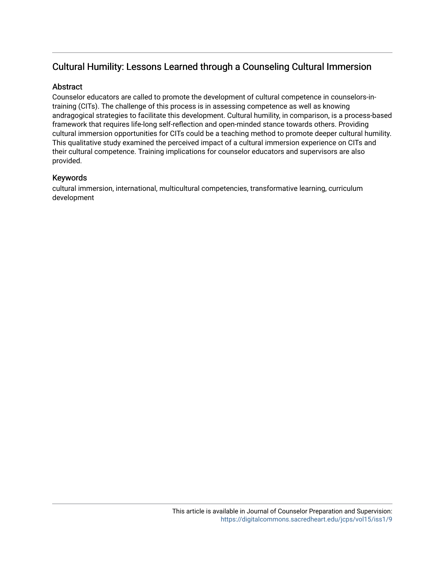# Cultural Humility: Lessons Learned through a Counseling Cultural Immersion

# **Abstract**

Counselor educators are called to promote the development of cultural competence in counselors-intraining (CITs). The challenge of this process is in assessing competence as well as knowing andragogical strategies to facilitate this development. Cultural humility, in comparison, is a process-based framework that requires life-long self-reflection and open-minded stance towards others. Providing cultural immersion opportunities for CITs could be a teaching method to promote deeper cultural humility. This qualitative study examined the perceived impact of a cultural immersion experience on CITs and their cultural competence. Training implications for counselor educators and supervisors are also provided.

# Keywords

cultural immersion, international, multicultural competencies, transformative learning, curriculum development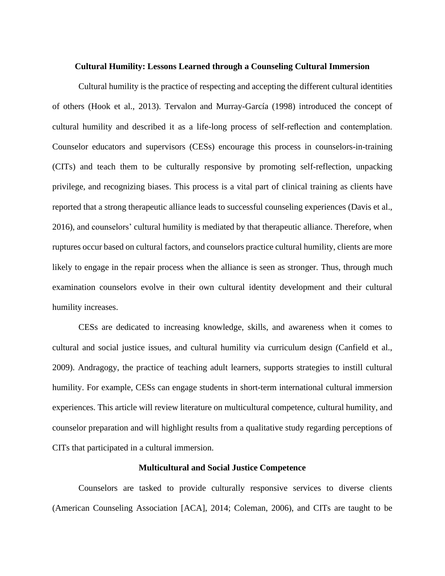#### **Cultural Humility: Lessons Learned through a Counseling Cultural Immersion**

Cultural humility is the practice of respecting and accepting the different cultural identities of others (Hook et al., 2013). Tervalon and Murray-García (1998) introduced the concept of cultural humility and described it as a life-long process of self-reflection and contemplation. Counselor educators and supervisors (CESs) encourage this process in counselors-in-training (CITs) and teach them to be culturally responsive by promoting self-reflection, unpacking privilege, and recognizing biases. This process is a vital part of clinical training as clients have reported that a strong therapeutic alliance leads to successful counseling experiences (Davis et al., 2016), and counselors' cultural humility is mediated by that therapeutic alliance. Therefore, when ruptures occur based on cultural factors, and counselors practice cultural humility, clients are more likely to engage in the repair process when the alliance is seen as stronger. Thus, through much examination counselors evolve in their own cultural identity development and their cultural humility increases.

CESs are dedicated to increasing knowledge, skills, and awareness when it comes to cultural and social justice issues, and cultural humility via curriculum design (Canfield et al., 2009). Andragogy, the practice of teaching adult learners, supports strategies to instill cultural humility. For example, CESs can engage students in short-term international cultural immersion experiences. This article will review literature on multicultural competence, cultural humility, and counselor preparation and will highlight results from a qualitative study regarding perceptions of CITs that participated in a cultural immersion.

#### **Multicultural and Social Justice Competence**

Counselors are tasked to provide culturally responsive services to diverse clients (American Counseling Association [ACA], 2014; Coleman, 2006), and CITs are taught to be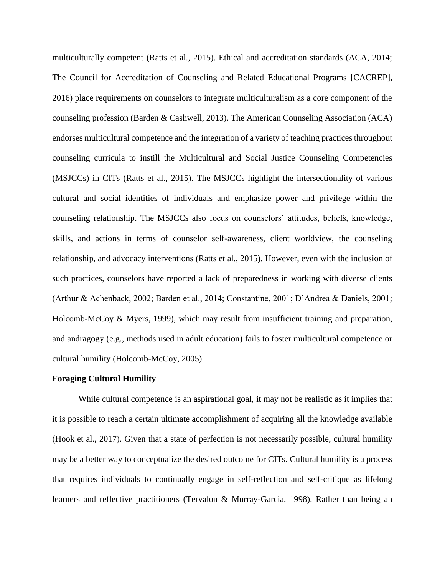multiculturally competent (Ratts et al., 2015). Ethical and accreditation standards (ACA, 2014; The Council for Accreditation of Counseling and Related Educational Programs [CACREP], 2016) place requirements on counselors to integrate multiculturalism as a core component of the counseling profession (Barden & Cashwell, 2013). The American Counseling Association (ACA) endorses multicultural competence and the integration of a variety of teaching practices throughout counseling curricula to instill the Multicultural and Social Justice Counseling Competencies (MSJCCs) in CITs (Ratts et al., 2015). The MSJCCs highlight the intersectionality of various cultural and social identities of individuals and emphasize power and privilege within the counseling relationship. The MSJCCs also focus on counselors' attitudes, beliefs, knowledge, skills, and actions in terms of counselor self-awareness, client worldview, the counseling relationship, and advocacy interventions (Ratts et al., 2015). However, even with the inclusion of such practices, counselors have reported a lack of preparedness in working with diverse clients (Arthur & Achenback, 2002; Barden et al., 2014; Constantine, 2001; D'Andrea & Daniels, 2001; Holcomb-McCoy & Myers, 1999), which may result from insufficient training and preparation, and andragogy (e.g., methods used in adult education) fails to foster multicultural competence or cultural humility (Holcomb-McCoy, 2005).

## **Foraging Cultural Humility**

While cultural competence is an aspirational goal, it may not be realistic as it implies that it is possible to reach a certain ultimate accomplishment of acquiring all the knowledge available (Hook et al., 2017). Given that a state of perfection is not necessarily possible, cultural humility may be a better way to conceptualize the desired outcome for CITs. Cultural humility is a process that requires individuals to continually engage in self-reflection and self-critique as lifelong learners and reflective practitioners (Tervalon & Murray-Garcia, 1998). Rather than being an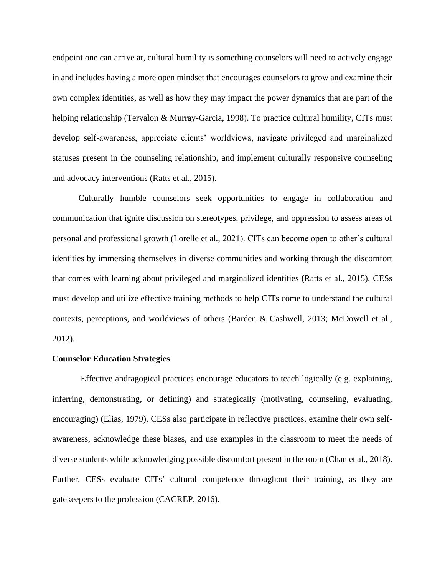endpoint one can arrive at, cultural humility is something counselors will need to actively engage in and includes having a more open mindset that encourages counselors to grow and examine their own complex identities, as well as how they may impact the power dynamics that are part of the helping relationship (Tervalon & Murray-Garcia, 1998). To practice cultural humility, CITs must develop self-awareness, appreciate clients' worldviews, navigate privileged and marginalized statuses present in the counseling relationship, and implement culturally responsive counseling and advocacy interventions (Ratts et al., 2015).

Culturally humble counselors seek opportunities to engage in collaboration and communication that ignite discussion on stereotypes, privilege, and oppression to assess areas of personal and professional growth (Lorelle et al., 2021). CITs can become open to other's cultural identities by immersing themselves in diverse communities and working through the discomfort that comes with learning about privileged and marginalized identities (Ratts et al., 2015). CESs must develop and utilize effective training methods to help CITs come to understand the cultural contexts, perceptions, and worldviews of others (Barden & Cashwell, 2013; McDowell et al., 2012).

#### **Counselor Education Strategies**

Effective andragogical practices encourage educators to teach logically (e.g. explaining, inferring, demonstrating, or defining) and strategically (motivating, counseling, evaluating, encouraging) (Elias, 1979). CESs also participate in reflective practices, examine their own selfawareness, acknowledge these biases, and use examples in the classroom to meet the needs of diverse students while acknowledging possible discomfort present in the room (Chan et al., 2018). Further, CESs evaluate CITs' cultural competence throughout their training, as they are gatekeepers to the profession (CACREP, 2016).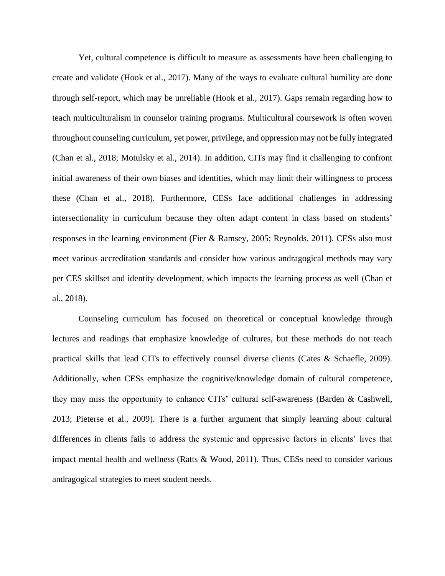Yet, cultural competence is difficult to measure as assessments have been challenging to create and validate (Hook et al., 2017). Many of the ways to evaluate cultural humility are done through self-report, which may be unreliable (Hook et al., 2017). Gaps remain regarding how to teach multiculturalism in counselor training programs. Multicultural coursework is often woven throughout counseling curriculum, yet power, privilege, and oppression may not be fully integrated (Chan et al., 2018; Motulsky et al., 2014). In addition, CITs may find it challenging to confront initial awareness of their own biases and identities, which may limit their willingness to process these (Chan et al., 2018). Furthermore, CESs face additional challenges in addressing intersectionality in curriculum because they often adapt content in class based on students' responses in the learning environment (Fier & Ramsey, 2005; Reynolds, 2011). CESs also must meet various accreditation standards and consider how various andragogical methods may vary per CES skillset and identity development, which impacts the learning process as well (Chan et al., 2018).

Counseling curriculum has focused on theoretical or conceptual knowledge through lectures and readings that emphasize knowledge of cultures, but these methods do not teach practical skills that lead CITs to effectively counsel diverse clients (Cates & Schaefle, 2009). Additionally, when CESs emphasize the cognitive/knowledge domain of cultural competence, they may miss the opportunity to enhance CITs' cultural self-awareness (Barden & Cashwell, 2013; Pieterse et al., 2009). There is a further argument that simply learning about cultural differences in clients fails to address the systemic and oppressive factors in clients' lives that impact mental health and wellness (Ratts & Wood, 2011). Thus, CESs need to consider various andragogical strategies to meet student needs.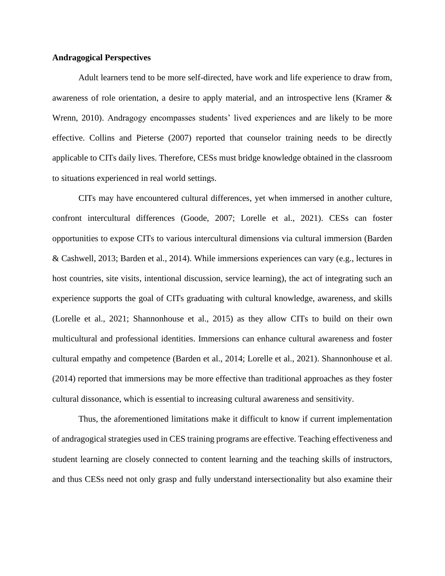# **Andragogical Perspectives**

Adult learners tend to be more self-directed, have work and life experience to draw from, awareness of role orientation, a desire to apply material, and an introspective lens (Kramer & Wrenn, 2010). Andragogy encompasses students' lived experiences and are likely to be more effective. Collins and Pieterse (2007) reported that counselor training needs to be directly applicable to CITs daily lives. Therefore, CESs must bridge knowledge obtained in the classroom to situations experienced in real world settings.

CITs may have encountered cultural differences, yet when immersed in another culture, confront intercultural differences (Goode, 2007; Lorelle et al., 2021). CESs can foster opportunities to expose CITs to various intercultural dimensions via cultural immersion (Barden & Cashwell, 2013; Barden et al., 2014). While immersions experiences can vary (e.g., lectures in host countries, site visits, intentional discussion, service learning), the act of integrating such an experience supports the goal of CITs graduating with cultural knowledge, awareness, and skills (Lorelle et al., 2021; Shannonhouse et al., 2015) as they allow CITs to build on their own multicultural and professional identities. Immersions can enhance cultural awareness and foster cultural empathy and competence (Barden et al., 2014; Lorelle et al., 2021). Shannonhouse et al. (2014) reported that immersions may be more effective than traditional approaches as they foster cultural dissonance, which is essential to increasing cultural awareness and sensitivity.

Thus, the aforementioned limitations make it difficult to know if current implementation of andragogical strategies used in CES training programs are effective. Teaching effectiveness and student learning are closely connected to content learning and the teaching skills of instructors, and thus CESs need not only grasp and fully understand intersectionality but also examine their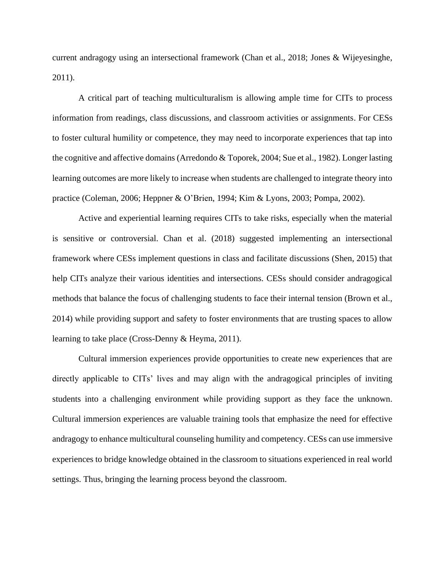current andragogy using an intersectional framework (Chan et al., 2018; Jones & Wijeyesinghe, 2011).

A critical part of teaching multiculturalism is allowing ample time for CITs to process information from readings, class discussions, and classroom activities or assignments. For CESs to foster cultural humility or competence, they may need to incorporate experiences that tap into the cognitive and affective domains (Arredondo & Toporek, 2004; Sue et al., 1982). Longer lasting learning outcomes are more likely to increase when students are challenged to integrate theory into practice (Coleman, 2006; Heppner & O'Brien, 1994; Kim & Lyons, 2003; Pompa, 2002).

Active and experiential learning requires CITs to take risks, especially when the material is sensitive or controversial. Chan et al. (2018) suggested implementing an intersectional framework where CESs implement questions in class and facilitate discussions (Shen, 2015) that help CITs analyze their various identities and intersections. CESs should consider andragogical methods that balance the focus of challenging students to face their internal tension (Brown et al., 2014) while providing support and safety to foster environments that are trusting spaces to allow learning to take place (Cross-Denny & Heyma, 2011).

Cultural immersion experiences provide opportunities to create new experiences that are directly applicable to CITs' lives and may align with the andragogical principles of inviting students into a challenging environment while providing support as they face the unknown. Cultural immersion experiences are valuable training tools that emphasize the need for effective andragogy to enhance multicultural counseling humility and competency. CESs can use immersive experiences to bridge knowledge obtained in the classroom to situations experienced in real world settings. Thus, bringing the learning process beyond the classroom.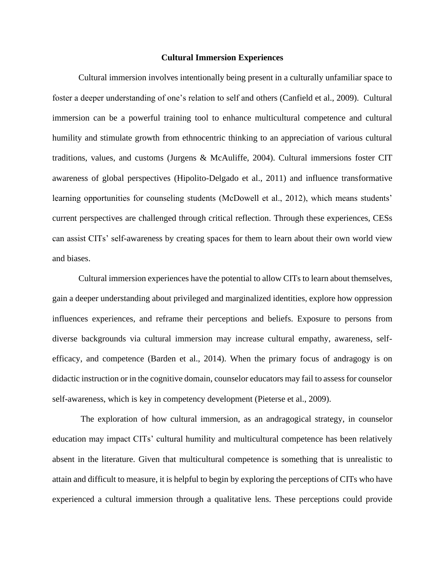# **Cultural Immersion Experiences**

Cultural immersion involves intentionally being present in a culturally unfamiliar space to foster a deeper understanding of one's relation to self and others (Canfield et al., 2009). Cultural immersion can be a powerful training tool to enhance multicultural competence and cultural humility and stimulate growth from ethnocentric thinking to an appreciation of various cultural traditions, values, and customs (Jurgens & McAuliffe, 2004). Cultural immersions foster CIT awareness of global perspectives (Hipolito-Delgado et al., 2011) and influence transformative learning opportunities for counseling students (McDowell et al., 2012), which means students' current perspectives are challenged through critical reflection. Through these experiences, CESs can assist CITs' self-awareness by creating spaces for them to learn about their own world view and biases.

Cultural immersion experiences have the potential to allow CITs to learn about themselves, gain a deeper understanding about privileged and marginalized identities, explore how oppression influences experiences, and reframe their perceptions and beliefs. Exposure to persons from diverse backgrounds via cultural immersion may increase cultural empathy, awareness, selfefficacy, and competence (Barden et al., 2014). When the primary focus of andragogy is on didactic instruction or in the cognitive domain, counselor educators may fail to assess for counselor self-awareness, which is key in competency development (Pieterse et al., 2009).

The exploration of how cultural immersion, as an andragogical strategy, in counselor education may impact CITs' cultural humility and multicultural competence has been relatively absent in the literature. Given that multicultural competence is something that is unrealistic to attain and difficult to measure, it is helpful to begin by exploring the perceptions of CITs who have experienced a cultural immersion through a qualitative lens. These perceptions could provide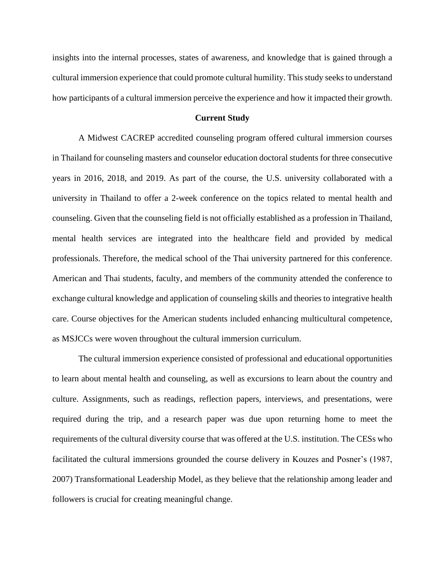insights into the internal processes, states of awareness, and knowledge that is gained through a cultural immersion experience that could promote cultural humility. This study seeks to understand how participants of a cultural immersion perceive the experience and how it impacted their growth.

# **Current Study**

A Midwest CACREP accredited counseling program offered cultural immersion courses in Thailand for counseling masters and counselor education doctoral students for three consecutive years in 2016, 2018, and 2019. As part of the course, the U.S. university collaborated with a university in Thailand to offer a 2-week conference on the topics related to mental health and counseling. Given that the counseling field is not officially established as a profession in Thailand, mental health services are integrated into the healthcare field and provided by medical professionals. Therefore, the medical school of the Thai university partnered for this conference. American and Thai students, faculty, and members of the community attended the conference to exchange cultural knowledge and application of counseling skills and theories to integrative health care. Course objectives for the American students included enhancing multicultural competence, as MSJCCs were woven throughout the cultural immersion curriculum.

The cultural immersion experience consisted of professional and educational opportunities to learn about mental health and counseling, as well as excursions to learn about the country and culture. Assignments, such as readings, reflection papers, interviews, and presentations, were required during the trip, and a research paper was due upon returning home to meet the requirements of the cultural diversity course that was offered at the U.S. institution. The CESs who facilitated the cultural immersions grounded the course delivery in Kouzes and Posner's (1987, 2007) Transformational Leadership Model, as they believe that the relationship among leader and followers is crucial for creating meaningful change.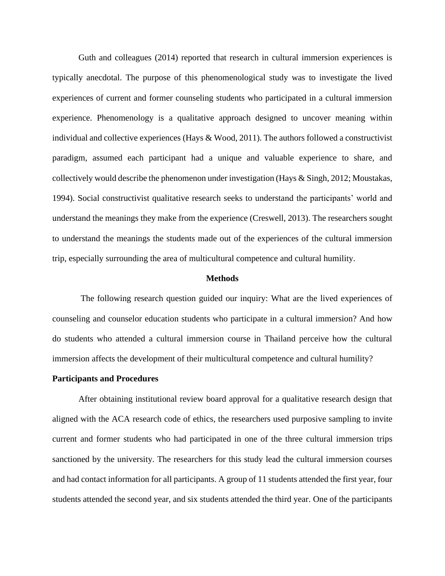Guth and colleagues (2014) reported that research in cultural immersion experiences is typically anecdotal. The purpose of this phenomenological study was to investigate the lived experiences of current and former counseling students who participated in a cultural immersion experience. Phenomenology is a qualitative approach designed to uncover meaning within individual and collective experiences (Hays & Wood, 2011). The authors followed a constructivist paradigm, assumed each participant had a unique and valuable experience to share, and collectively would describe the phenomenon under investigation (Hays & Singh, 2012; Moustakas, 1994). Social constructivist qualitative research seeks to understand the participants' world and understand the meanings they make from the experience (Creswell, 2013). The researchers sought to understand the meanings the students made out of the experiences of the cultural immersion trip, especially surrounding the area of multicultural competence and cultural humility.

#### **Methods**

The following research question guided our inquiry: What are the lived experiences of counseling and counselor education students who participate in a cultural immersion? And how do students who attended a cultural immersion course in Thailand perceive how the cultural immersion affects the development of their multicultural competence and cultural humility?

#### **Participants and Procedures**

After obtaining institutional review board approval for a qualitative research design that aligned with the ACA research code of ethics, the researchers used purposive sampling to invite current and former students who had participated in one of the three cultural immersion trips sanctioned by the university. The researchers for this study lead the cultural immersion courses and had contact information for all participants. A group of 11 students attended the first year, four students attended the second year, and six students attended the third year. One of the participants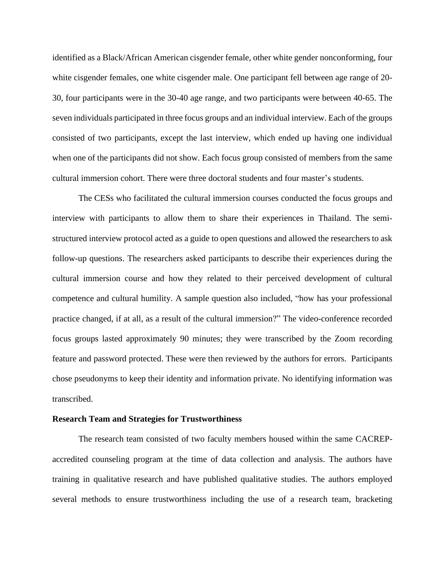identified as a Black/African American cisgender female, other white gender nonconforming, four white cisgender females, one white cisgender male. One participant fell between age range of 20- 30, four participants were in the 30-40 age range, and two participants were between 40-65. The seven individuals participated in three focus groups and an individual interview. Each of the groups consisted of two participants, except the last interview, which ended up having one individual when one of the participants did not show. Each focus group consisted of members from the same cultural immersion cohort. There were three doctoral students and four master's students.

The CESs who facilitated the cultural immersion courses conducted the focus groups and interview with participants to allow them to share their experiences in Thailand. The semistructured interview protocol acted as a guide to open questions and allowed the researchers to ask follow-up questions. The researchers asked participants to describe their experiences during the cultural immersion course and how they related to their perceived development of cultural competence and cultural humility. A sample question also included, "how has your professional practice changed, if at all, as a result of the cultural immersion?" The video-conference recorded focus groups lasted approximately 90 minutes; they were transcribed by the Zoom recording feature and password protected. These were then reviewed by the authors for errors. Participants chose pseudonyms to keep their identity and information private. No identifying information was transcribed.

#### **Research Team and Strategies for Trustworthiness**

The research team consisted of two faculty members housed within the same CACREPaccredited counseling program at the time of data collection and analysis. The authors have training in qualitative research and have published qualitative studies. The authors employed several methods to ensure trustworthiness including the use of a research team, bracketing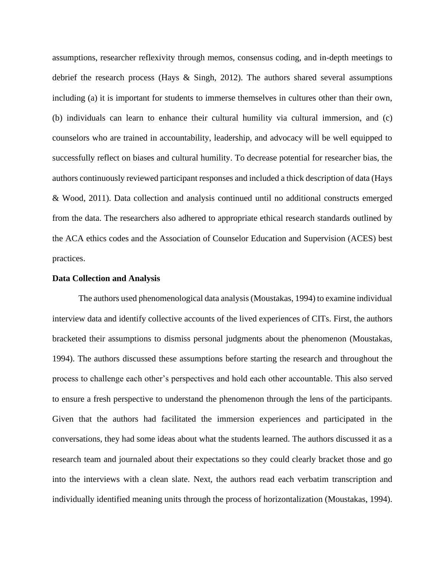assumptions, researcher reflexivity through memos, consensus coding, and in-depth meetings to debrief the research process (Hays & Singh, 2012). The authors shared several assumptions including (a) it is important for students to immerse themselves in cultures other than their own, (b) individuals can learn to enhance their cultural humility via cultural immersion, and (c) counselors who are trained in accountability, leadership, and advocacy will be well equipped to successfully reflect on biases and cultural humility. To decrease potential for researcher bias, the authors continuously reviewed participant responses and included a thick description of data (Hays & Wood, 2011). Data collection and analysis continued until no additional constructs emerged from the data. The researchers also adhered to appropriate ethical research standards outlined by the ACA ethics codes and the Association of Counselor Education and Supervision (ACES) best practices.

#### **Data Collection and Analysis**

The authors used phenomenological data analysis (Moustakas, 1994) to examine individual interview data and identify collective accounts of the lived experiences of CITs. First, the authors bracketed their assumptions to dismiss personal judgments about the phenomenon (Moustakas, 1994). The authors discussed these assumptions before starting the research and throughout the process to challenge each other's perspectives and hold each other accountable. This also served to ensure a fresh perspective to understand the phenomenon through the lens of the participants. Given that the authors had facilitated the immersion experiences and participated in the conversations, they had some ideas about what the students learned. The authors discussed it as a research team and journaled about their expectations so they could clearly bracket those and go into the interviews with a clean slate. Next, the authors read each verbatim transcription and individually identified meaning units through the process of horizontalization (Moustakas, 1994).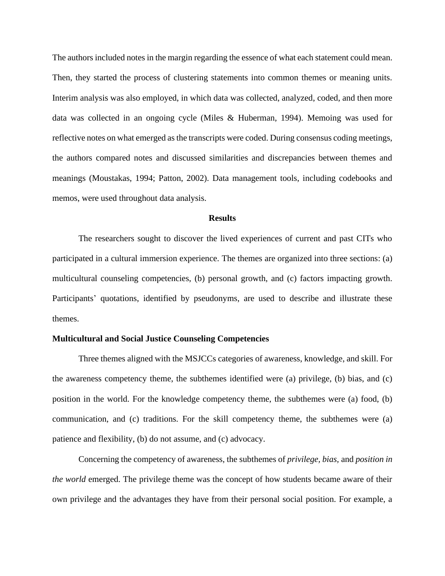The authors included notes in the margin regarding the essence of what each statement could mean. Then, they started the process of clustering statements into common themes or meaning units. Interim analysis was also employed, in which data was collected, analyzed, coded, and then more data was collected in an ongoing cycle (Miles & Huberman, 1994). Memoing was used for reflective notes on what emerged as the transcripts were coded. During consensus coding meetings, the authors compared notes and discussed similarities and discrepancies between themes and meanings (Moustakas, 1994; Patton, 2002). Data management tools, including codebooks and memos, were used throughout data analysis.

#### **Results**

The researchers sought to discover the lived experiences of current and past CITs who participated in a cultural immersion experience. The themes are organized into three sections: (a) multicultural counseling competencies, (b) personal growth, and (c) factors impacting growth. Participants' quotations, identified by pseudonyms, are used to describe and illustrate these themes.

#### **Multicultural and Social Justice Counseling Competencies**

Three themes aligned with the MSJCCs categories of awareness, knowledge, and skill. For the awareness competency theme, the subthemes identified were (a) privilege, (b) bias, and (c) position in the world. For the knowledge competency theme, the subthemes were (a) food, (b) communication, and (c) traditions. For the skill competency theme, the subthemes were (a) patience and flexibility, (b) do not assume, and (c) advocacy.

Concerning the competency of awareness, the subthemes of *privilege, bias,* and *position in the world* emerged. The privilege theme was the concept of how students became aware of their own privilege and the advantages they have from their personal social position. For example, a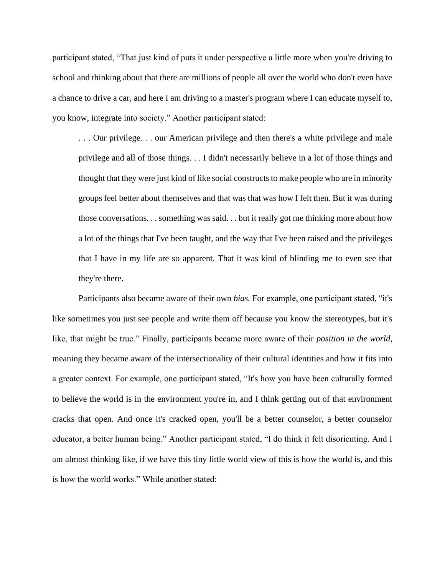participant stated, "That just kind of puts it under perspective a little more when you're driving to school and thinking about that there are millions of people all over the world who don't even have a chance to drive a car, and here I am driving to a master's program where I can educate myself to, you know, integrate into society." Another participant stated:

. . . Our privilege. . . our American privilege and then there's a white privilege and male privilege and all of those things. . . I didn't necessarily believe in a lot of those things and thought that they were just kind of like social constructs to make people who are in minority groups feel better about themselves and that was that was how I felt then. But it was during those conversations. . . something was said. . . but it really got me thinking more about how a lot of the things that I've been taught, and the way that I've been raised and the privileges that I have in my life are so apparent. That it was kind of blinding me to even see that they're there.

 Participants also became aware of their own *bias.* For example, one participant stated, "it's like sometimes you just see people and write them off because you know the stereotypes, but it's like, that might be true." Finally, participants became more aware of their *position in the world*, meaning they became aware of the intersectionality of their cultural identities and how it fits into a greater context. For example, one participant stated, "It's how you have been culturally formed to believe the world is in the environment you're in, and I think getting out of that environment cracks that open. And once it's cracked open, you'll be a better counselor, a better counselor educator, a better human being." Another participant stated, "I do think it felt disorienting. And I am almost thinking like, if we have this tiny little world view of this is how the world is, and this is how the world works." While another stated: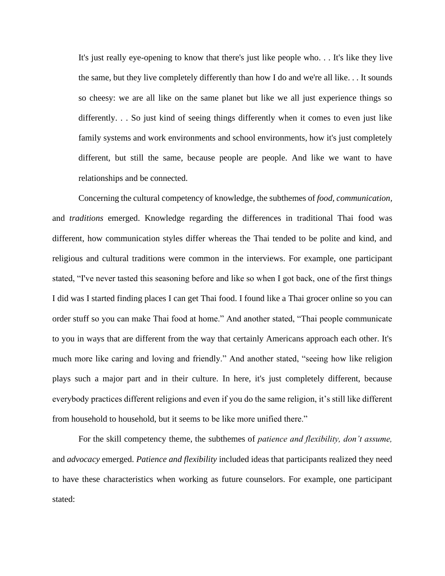It's just really eye-opening to know that there's just like people who. . . It's like they live the same, but they live completely differently than how I do and we're all like. . . It sounds so cheesy: we are all like on the same planet but like we all just experience things so differently. . . So just kind of seeing things differently when it comes to even just like family systems and work environments and school environments, how it's just completely different, but still the same, because people are people. And like we want to have relationships and be connected.

 Concerning the cultural competency of knowledge, the subthemes of *food, communication,*  and *traditions* emerged. Knowledge regarding the differences in traditional Thai food was different, how communication styles differ whereas the Thai tended to be polite and kind, and religious and cultural traditions were common in the interviews. For example, one participant stated, "I've never tasted this seasoning before and like so when I got back, one of the first things I did was I started finding places I can get Thai food. I found like a Thai grocer online so you can order stuff so you can make Thai food at home." And another stated, "Thai people communicate to you in ways that are different from the way that certainly Americans approach each other. It's much more like caring and loving and friendly." And another stated, "seeing how like religion plays such a major part and in their culture. In here, it's just completely different, because everybody practices different religions and even if you do the same religion, it's still like different from household to household, but it seems to be like more unified there."

For the skill competency theme, the subthemes of *patience and flexibility, don't assume,* and *advocacy* emerged. *Patience and flexibility* included ideas that participants realized they need to have these characteristics when working as future counselors. For example, one participant stated: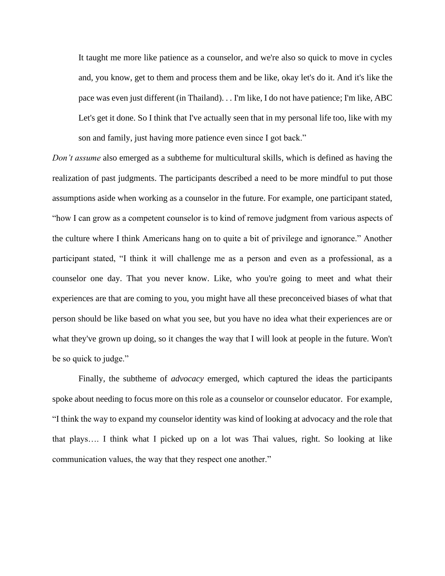It taught me more like patience as a counselor, and we're also so quick to move in cycles and, you know, get to them and process them and be like, okay let's do it. And it's like the pace was even just different (in Thailand). . . I'm like, I do not have patience; I'm like, ABC Let's get it done. So I think that I've actually seen that in my personal life too, like with my son and family, just having more patience even since I got back."

*Don't assume* also emerged as a subtheme for multicultural skills, which is defined as having the realization of past judgments. The participants described a need to be more mindful to put those assumptions aside when working as a counselor in the future. For example, one participant stated, "how I can grow as a competent counselor is to kind of remove judgment from various aspects of the culture where I think Americans hang on to quite a bit of privilege and ignorance." Another participant stated, "I think it will challenge me as a person and even as a professional, as a counselor one day. That you never know. Like, who you're going to meet and what their experiences are that are coming to you, you might have all these preconceived biases of what that person should be like based on what you see, but you have no idea what their experiences are or what they've grown up doing, so it changes the way that I will look at people in the future. Won't be so quick to judge."

Finally, the subtheme of *advocacy* emerged, which captured the ideas the participants spoke about needing to focus more on this role as a counselor or counselor educator. For example, "I think the way to expand my counselor identity was kind of looking at advocacy and the role that that plays…. I think what I picked up on a lot was Thai values, right. So looking at like communication values, the way that they respect one another."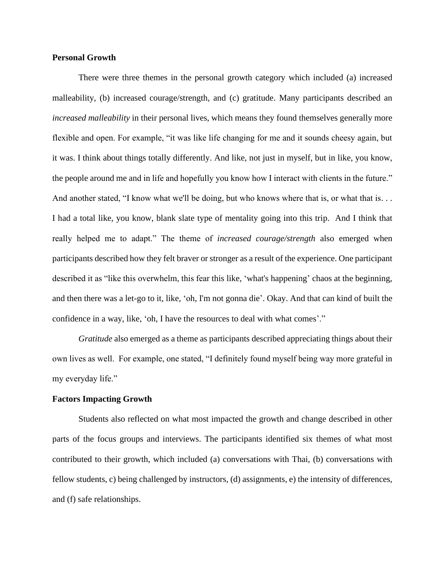## **Personal Growth**

There were three themes in the personal growth category which included (a) increased malleability, (b) increased courage/strength, and (c) gratitude. Many participants described an *increased malleability* in their personal lives, which means they found themselves generally more flexible and open. For example, "it was like life changing for me and it sounds cheesy again, but it was. I think about things totally differently. And like, not just in myself, but in like, you know, the people around me and in life and hopefully you know how I interact with clients in the future." And another stated, "I know what we'll be doing, but who knows where that is, or what that is... I had a total like, you know, blank slate type of mentality going into this trip. And I think that really helped me to adapt." The theme of *increased courage/strength* also emerged when participants described how they felt braver or stronger as a result of the experience. One participant described it as "like this overwhelm, this fear this like, 'what's happening' chaos at the beginning, and then there was a let-go to it, like, 'oh, I'm not gonna die'. Okay. And that can kind of built the confidence in a way, like, 'oh, I have the resources to deal with what comes'."

*Gratitude* also emerged as a theme as participants described appreciating things about their own lives as well. For example, one stated, "I definitely found myself being way more grateful in my everyday life."

# **Factors Impacting Growth**

Students also reflected on what most impacted the growth and change described in other parts of the focus groups and interviews. The participants identified six themes of what most contributed to their growth, which included (a) conversations with Thai, (b) conversations with fellow students, c) being challenged by instructors, (d) assignments, e) the intensity of differences, and (f) safe relationships.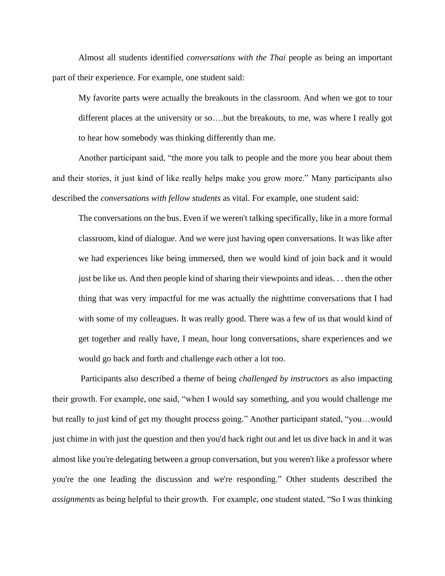Almost all students identified *conversations with the Thai* people as being an important part of their experience. For example, one student said:

My favorite parts were actually the breakouts in the classroom. And when we got to tour different places at the university or so….but the breakouts, to me, was where I really got to hear how somebody was thinking differently than me.

Another participant said, "the more you talk to people and the more you hear about them and their stories, it just kind of like really helps make you grow more." Many participants also described the *conversations with fellow students* as vital. For example, one student said:

The conversations on the bus. Even if we weren't talking specifically, like in a more formal classroom, kind of dialogue. And we were just having open conversations. It was like after we had experiences like being immersed, then we would kind of join back and it would just be like us. And then people kind of sharing their viewpoints and ideas. . . then the other thing that was very impactful for me was actually the nighttime conversations that I had with some of my colleagues. It was really good. There was a few of us that would kind of get together and really have, I mean, hour long conversations, share experiences and we would go back and forth and challenge each other a lot too.

Participants also described a theme of being *challenged by instructors* as also impacting their growth. For example, one said, "when I would say something, and you would challenge me but really to just kind of get my thought process going." Another participant stated, "you…would just chime in with just the question and then you'd back right out and let us dive back in and it was almost like you're delegating between a group conversation, but you weren't like a professor where you're the one leading the discussion and we're responding." Other students described the *assignments* as being helpful to their growth. For example, one student stated, "So I was thinking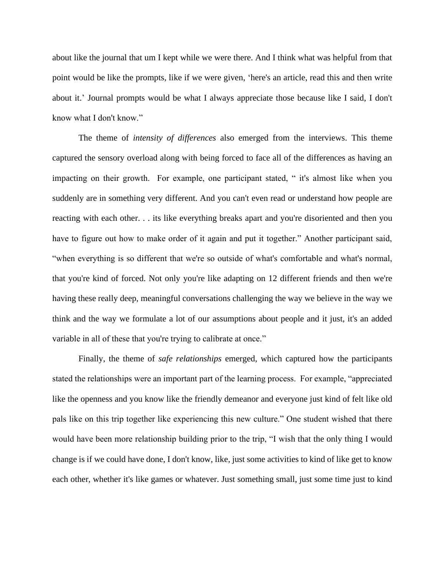about like the journal that um I kept while we were there. And I think what was helpful from that point would be like the prompts, like if we were given, 'here's an article, read this and then write about it.' Journal prompts would be what I always appreciate those because like I said, I don't know what I don't know."

The theme of *intensity of differences* also emerged from the interviews. This theme captured the sensory overload along with being forced to face all of the differences as having an impacting on their growth. For example, one participant stated, " it's almost like when you suddenly are in something very different. And you can't even read or understand how people are reacting with each other. . . its like everything breaks apart and you're disoriented and then you have to figure out how to make order of it again and put it together." Another participant said, "when everything is so different that we're so outside of what's comfortable and what's normal, that you're kind of forced. Not only you're like adapting on 12 different friends and then we're having these really deep, meaningful conversations challenging the way we believe in the way we think and the way we formulate a lot of our assumptions about people and it just, it's an added variable in all of these that you're trying to calibrate at once."

Finally, the theme of *safe relationships* emerged, which captured how the participants stated the relationships were an important part of the learning process. For example, "appreciated like the openness and you know like the friendly demeanor and everyone just kind of felt like old pals like on this trip together like experiencing this new culture." One student wished that there would have been more relationship building prior to the trip, "I wish that the only thing I would change is if we could have done, I don't know, like, just some activities to kind of like get to know each other, whether it's like games or whatever. Just something small, just some time just to kind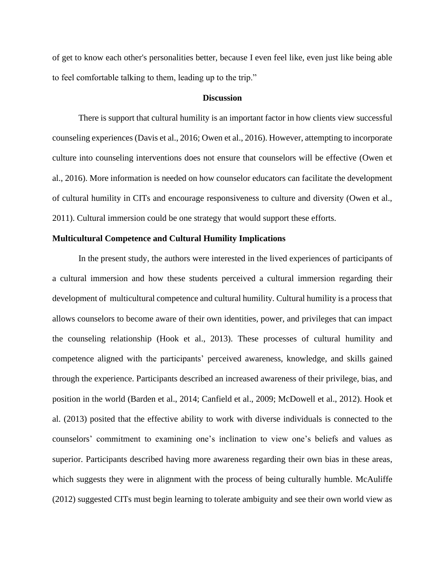of get to know each other's personalities better, because I even feel like, even just like being able to feel comfortable talking to them, leading up to the trip."

#### **Discussion**

There is support that cultural humility is an important factor in how clients view successful counseling experiences (Davis et al., 2016; Owen et al., 2016). However, attempting to incorporate culture into counseling interventions does not ensure that counselors will be effective (Owen et al., 2016). More information is needed on how counselor educators can facilitate the development of cultural humility in CITs and encourage responsiveness to culture and diversity (Owen et al., 2011). Cultural immersion could be one strategy that would support these efforts.

#### **Multicultural Competence and Cultural Humility Implications**

In the present study, the authors were interested in the lived experiences of participants of a cultural immersion and how these students perceived a cultural immersion regarding their development of multicultural competence and cultural humility. Cultural humility is a process that allows counselors to become aware of their own identities, power, and privileges that can impact the counseling relationship (Hook et al., 2013). These processes of cultural humility and competence aligned with the participants' perceived awareness, knowledge, and skills gained through the experience. Participants described an increased awareness of their privilege, bias, and position in the world (Barden et al., 2014; Canfield et al., 2009; McDowell et al., 2012). Hook et al. (2013) posited that the effective ability to work with diverse individuals is connected to the counselors' commitment to examining one's inclination to view one's beliefs and values as superior. Participants described having more awareness regarding their own bias in these areas, which suggests they were in alignment with the process of being culturally humble. McAuliffe (2012) suggested CITs must begin learning to tolerate ambiguity and see their own world view as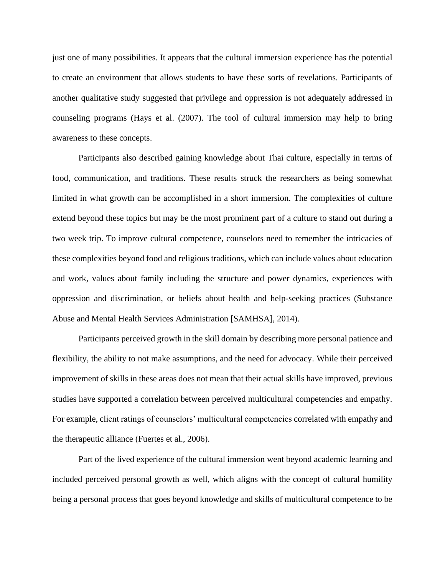just one of many possibilities. It appears that the cultural immersion experience has the potential to create an environment that allows students to have these sorts of revelations. Participants of another qualitative study suggested that privilege and oppression is not adequately addressed in counseling programs (Hays et al. (2007). The tool of cultural immersion may help to bring awareness to these concepts.

Participants also described gaining knowledge about Thai culture, especially in terms of food, communication, and traditions. These results struck the researchers as being somewhat limited in what growth can be accomplished in a short immersion. The complexities of culture extend beyond these topics but may be the most prominent part of a culture to stand out during a two week trip. To improve cultural competence, counselors need to remember the intricacies of these complexities beyond food and religious traditions, which can include values about education and work, values about family including the structure and power dynamics, experiences with oppression and discrimination, or beliefs about health and help-seeking practices (Substance Abuse and Mental Health Services Administration [SAMHSA], 2014).

Participants perceived growth in the skill domain by describing more personal patience and flexibility, the ability to not make assumptions, and the need for advocacy. While their perceived improvement of skills in these areas does not mean that their actual skills have improved, previous studies have supported a correlation between perceived multicultural competencies and empathy. For example, client ratings of counselors' multicultural competencies correlated with empathy and the therapeutic alliance (Fuertes et al., 2006).

Part of the lived experience of the cultural immersion went beyond academic learning and included perceived personal growth as well, which aligns with the concept of cultural humility being a personal process that goes beyond knowledge and skills of multicultural competence to be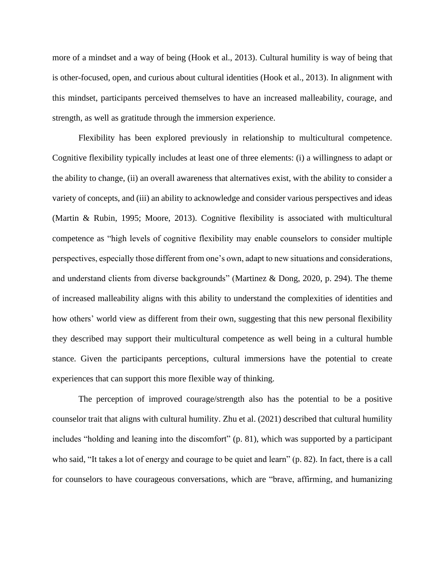more of a mindset and a way of being (Hook et al., 2013). Cultural humility is way of being that is other-focused, open, and curious about cultural identities (Hook et al., 2013). In alignment with this mindset, participants perceived themselves to have an increased malleability, courage, and strength, as well as gratitude through the immersion experience.

Flexibility has been explored previously in relationship to multicultural competence. Cognitive flexibility typically includes at least one of three elements: (i) a willingness to adapt or the ability to change, (ii) an overall awareness that alternatives exist, with the ability to consider a variety of concepts, and (iii) an ability to acknowledge and consider various perspectives and ideas (Martin & Rubin, 1995; Moore, 2013). Cognitive flexibility is associated with multicultural competence as "high levels of cognitive flexibility may enable counselors to consider multiple perspectives, especially those different from one's own, adapt to new situations and considerations, and understand clients from diverse backgrounds" (Martinez & Dong, 2020, p. 294). The theme of increased malleability aligns with this ability to understand the complexities of identities and how others' world view as different from their own, suggesting that this new personal flexibility they described may support their multicultural competence as well being in a cultural humble stance. Given the participants perceptions, cultural immersions have the potential to create experiences that can support this more flexible way of thinking.

The perception of improved courage/strength also has the potential to be a positive counselor trait that aligns with cultural humility. Zhu et al. (2021) described that cultural humility includes "holding and leaning into the discomfort" (p. 81), which was supported by a participant who said, "It takes a lot of energy and courage to be quiet and learn" (p. 82). In fact, there is a call for counselors to have courageous conversations, which are "brave, affirming, and humanizing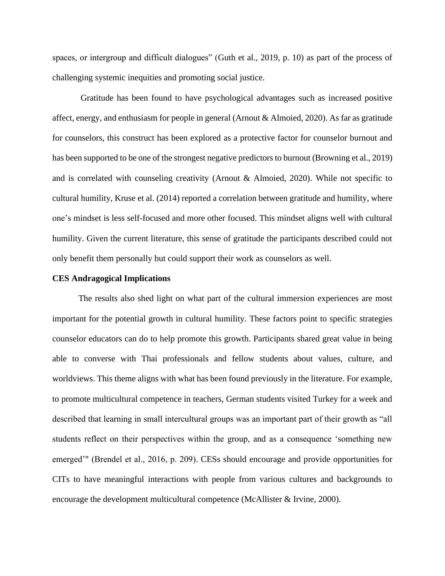spaces, or intergroup and difficult dialogues" (Guth et al., 2019, p. 10) as part of the process of challenging systemic inequities and promoting social justice.

Gratitude has been found to have psychological advantages such as increased positive affect, energy, and enthusiasm for people in general (Arnout & Almoied, 2020). As far as gratitude for counselors, this construct has been explored as a protective factor for counselor burnout and has been supported to be one of the strongest negative predictors to burnout (Browning et al., 2019) and is correlated with counseling creativity (Arnout & Almoied, 2020). While not specific to cultural humility, Kruse et al. (2014) reported a correlation between gratitude and humility, where one's mindset is less self-focused and more other focused. This mindset aligns well with cultural humility. Given the current literature, this sense of gratitude the participants described could not only benefit them personally but could support their work as counselors as well.

#### **CES Andragogical Implications**

The results also shed light on what part of the cultural immersion experiences are most important for the potential growth in cultural humility. These factors point to specific strategies counselor educators can do to help promote this growth. Participants shared great value in being able to converse with Thai professionals and fellow students about values, culture, and worldviews. This theme aligns with what has been found previously in the literature. For example, to promote multicultural competence in teachers, German students visited Turkey for a week and described that learning in small intercultural groups was an important part of their growth as "all students reflect on their perspectives within the group, and as a consequence 'something new emerged'" (Brendel et al., 2016, p. 209). CESs should encourage and provide opportunities for CITs to have meaningful interactions with people from various cultures and backgrounds to encourage the development multicultural competence (McAllister & Irvine, 2000).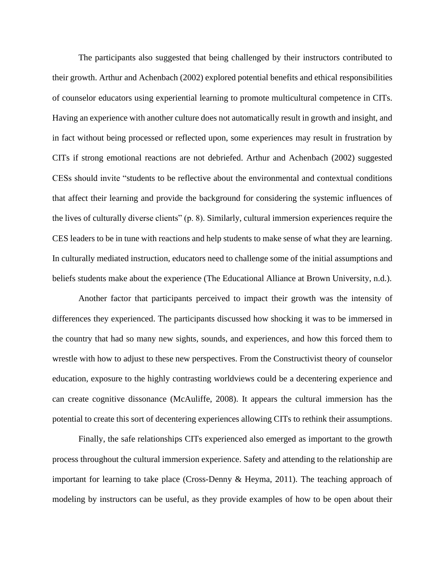The participants also suggested that being challenged by their instructors contributed to their growth. Arthur and Achenbach (2002) explored potential benefits and ethical responsibilities of counselor educators using experiential learning to promote multicultural competence in CITs. Having an experience with another culture does not automatically result in growth and insight, and in fact without being processed or reflected upon, some experiences may result in frustration by CITs if strong emotional reactions are not debriefed. Arthur and Achenbach (2002) suggested CESs should invite "students to be reflective about the environmental and contextual conditions that affect their learning and provide the background for considering the systemic influences of the lives of culturally diverse clients" (p. 8). Similarly, cultural immersion experiences require the CES leaders to be in tune with reactions and help students to make sense of what they are learning. In culturally mediated instruction, educators need to challenge some of the initial assumptions and beliefs students make about the experience (The Educational Alliance at Brown University, n.d.).

Another factor that participants perceived to impact their growth was the intensity of differences they experienced. The participants discussed how shocking it was to be immersed in the country that had so many new sights, sounds, and experiences, and how this forced them to wrestle with how to adjust to these new perspectives. From the Constructivist theory of counselor education, exposure to the highly contrasting worldviews could be a decentering experience and can create cognitive dissonance (McAuliffe, 2008). It appears the cultural immersion has the potential to create this sort of decentering experiences allowing CITs to rethink their assumptions.

Finally, the safe relationships CITs experienced also emerged as important to the growth process throughout the cultural immersion experience. Safety and attending to the relationship are important for learning to take place (Cross-Denny & Heyma, 2011). The teaching approach of modeling by instructors can be useful, as they provide examples of how to be open about their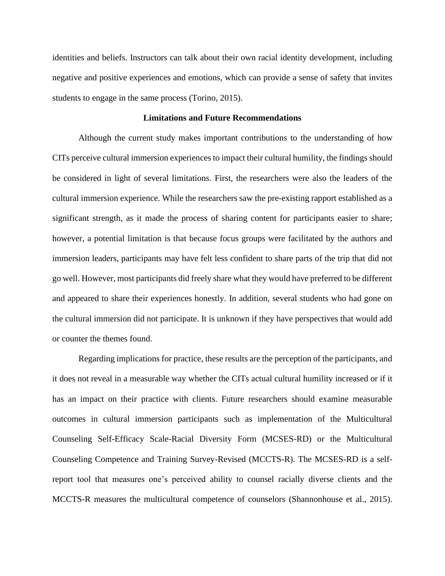identities and beliefs. Instructors can talk about their own racial identity development, including negative and positive experiences and emotions, which can provide a sense of safety that invites students to engage in the same process (Torino, 2015).

#### **Limitations and Future Recommendations**

Although the current study makes important contributions to the understanding of how CITs perceive cultural immersion experiences to impact their cultural humility, the findings should be considered in light of several limitations. First, the researchers were also the leaders of the cultural immersion experience. While the researchers saw the pre-existing rapport established as a significant strength, as it made the process of sharing content for participants easier to share; however, a potential limitation is that because focus groups were facilitated by the authors and immersion leaders, participants may have felt less confident to share parts of the trip that did not go well. However, most participants did freely share what they would have preferred to be different and appeared to share their experiences honestly. In addition, several students who had gone on the cultural immersion did not participate. It is unknown if they have perspectives that would add or counter the themes found.

Regarding implications for practice, these results are the perception of the participants, and it does not reveal in a measurable way whether the CITs actual cultural humility increased or if it has an impact on their practice with clients. Future researchers should examine measurable outcomes in cultural immersion participants such as implementation of the Multicultural Counseling Self-Efficacy Scale-Racial Diversity Form (MCSES-RD) or the Multicultural Counseling Competence and Training Survey-Revised (MCCTS-R). The MCSES-RD is a selfreport tool that measures one's perceived ability to counsel racially diverse clients and the MCCTS-R measures the multicultural competence of counselors (Shannonhouse et al., 2015).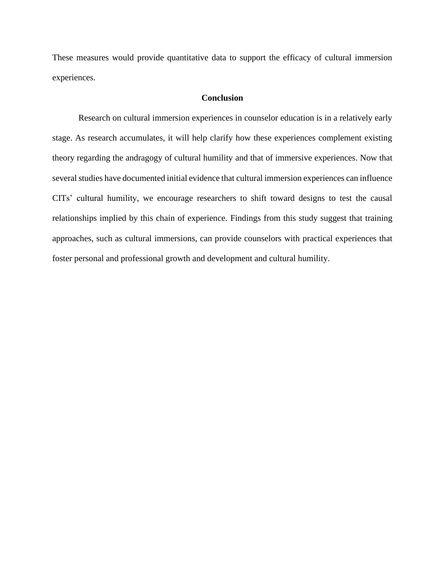These measures would provide quantitative data to support the efficacy of cultural immersion experiences.

# **Conclusion**

Research on cultural immersion experiences in counselor education is in a relatively early stage. As research accumulates, it will help clarify how these experiences complement existing theory regarding the andragogy of cultural humility and that of immersive experiences. Now that several studies have documented initial evidence that cultural immersion experiences can influence CITs' cultural humility, we encourage researchers to shift toward designs to test the causal relationships implied by this chain of experience. Findings from this study suggest that training approaches, such as cultural immersions, can provide counselors with practical experiences that foster personal and professional growth and development and cultural humility.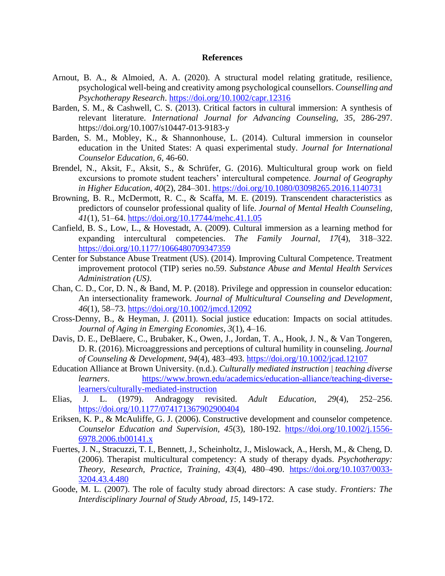#### **References**

- Arnout, B. A., & Almoied, A. A. (2020). A structural model relating gratitude, resilience, psychological well-being and creativity among psychological counsellors. *Counselling and Psychotherapy Research*.<https://doi.org/10.1002/capr.12316>
- Barden, S. M., & Cashwell, C. S. (2013). Critical factors in cultural immersion: A synthesis of relevant literature. *International Journal for Advancing Counseling, 35,* 286-297. https://doi.org/10.1007/s10447-013-9183-y
- Barden, S. M., Mobley, K., & Shannonhouse, L. (2014). Cultural immersion in counselor education in the United States: A quasi experimental study. *Journal for International Counselor Education, 6,* 46-60.
- Brendel, N., Aksit, F., Aksit, S., & Schrüfer, G. (2016). Multicultural group work on field excursions to promote student teachers' intercultural competence. *Journal of Geography in Higher Education*, *40*(2), 284–301.<https://doi.org/10.1080/03098265.2016.1140731>
- Browning, B. R., McDermott, R. C., & Scaffa, M. E. (2019). Transcendent characteristics as predictors of counselor professional quality of life. *Journal of Mental Health Counseling*, *41*(1), 51–64.<https://doi.org/10.17744/mehc.41.1.05>
- Canfield, B. S., Low, L., & Hovestadt, A. (2009). Cultural immersion as a learning method for expanding intercultural competencies. *The Family Journal*, *17*(4), 318–322. <https://doi.org/10.1177/1066480709347359>
- Center for Substance Abuse Treatment (US). (2014). Improving Cultural Competence. Treatment improvement protocol (TIP) series no.59. *Substance Abuse and Mental Health Services Administration (US)*.
- Chan, C. D., Cor, D. N., & Band, M. P. (2018). Privilege and oppression in counselor education: An intersectionality framework. *Journal of Multicultural Counseling and Development*, *46*(1), 58–73.<https://doi.org/10.1002/jmcd.12092>
- Cross-Denny, B., & Heyman, J. (2011). Social justice education: Impacts on social attitudes. *Journal of Aging in Emerging Economies*, *3*(1), 4–16.
- Davis, D. E., DeBlaere, C., Brubaker, K., Owen, J., Jordan, T. A., Hook, J. N., & Van Tongeren, D. R. (2016). Microaggressions and perceptions of cultural humility in counseling. *Journal of Counseling & Development*, *94*(4), 483–493.<https://doi.org/10.1002/jcad.12107>
- Education Alliance at Brown University. (n.d.). *Culturally mediated instruction | teaching diverse learners*. [https://www.brown.edu/academics/education-alliance/teaching-diverse](https://www.brown.edu/academics/education-alliance/teaching-diverse-learners/culturally-mediated-instruction)[learners/culturally-mediated-instruction](https://www.brown.edu/academics/education-alliance/teaching-diverse-learners/culturally-mediated-instruction)
- Elias, J. L. (1979). Andragogy revisited. *Adult Education*, *29*(4), 252–256. <https://doi.org/10.1177/074171367902900404>
- Eriksen, K. P., & McAuliffe, G. J. (2006). Constructive development and counselor competence. *Counselor Education and Supervision, 45*(3), 180-192. [https://doi.org/10.1002/j.1556-](https://doi.org/10.1002/j.1556-6978.2006.tb00141.x) [6978.2006.tb00141.x](https://doi.org/10.1002/j.1556-6978.2006.tb00141.x)
- Fuertes, J. N., Stracuzzi, T. I., Bennett, J., Scheinholtz, J., Mislowack, A., Hersh, M., & Cheng, D. (2006). Therapist multicultural competency: A study of therapy dyads. *Psychotherapy: Theory, Research, Practice, Training*, *43*(4), 480–490. [https://doi.org/10.1037/0033-](https://doi.org/10.1037/0033-3204.43.4.480) [3204.43.4.480](https://doi.org/10.1037/0033-3204.43.4.480)
- Goode, M. L. (2007). The role of faculty study abroad directors: A case study. *Frontiers: The Interdisciplinary Journal of Study Abroad, 15*, 149-172.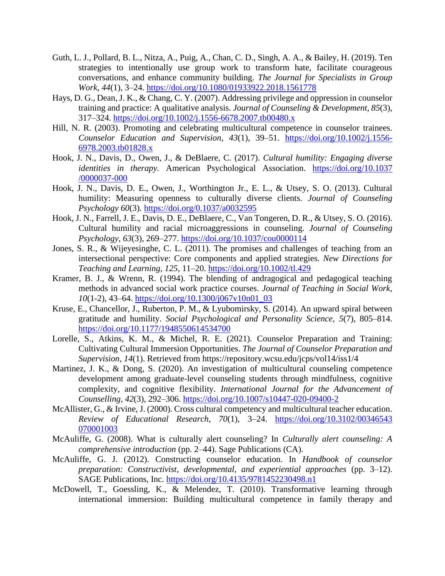- Guth, L. J., Pollard, B. L., Nitza, A., Puig, A., Chan, C. D., Singh, A. A., & Bailey, H. (2019). Ten strategies to intentionally use group work to transform hate, facilitate courageous conversations, and enhance community building. *The Journal for Specialists in Group Work*, *44*(1), 3–24.<https://doi.org/10.1080/01933922.2018.1561778>
- Hays, D. G., Dean, J. K., & Chang, C. Y. (2007). Addressing privilege and oppression in counselor training and practice: A qualitative analysis. *Journal of Counseling & Development*, *85*(3), 317–324.<https://doi.org/10.1002/j.1556-6678.2007.tb00480.x>
- Hill, N. R. (2003). Promoting and celebrating multicultural competence in counselor trainees. *Counselor Education and Supervision*, *43*(1), 39–51. [https://doi.org/10.1002/j.1556-](https://doi.org/10.1002/j.1556-6978.2003.tb01828.x) [6978.2003.tb01828.x](https://doi.org/10.1002/j.1556-6978.2003.tb01828.x)
- Hook, J. N., Davis, D., Owen, J., & DeBlaere, C. (2017). *Cultural humility: Engaging diverse identities in therapy.* American Psychological Association. [https://doi.org/10.1037](https://doi.org/10.1037/0000037-000) [/0000037-000](https://doi.org/10.1037/0000037-000)
- Hook, J. N., Davis, D. E., Owen, J., Worthington Jr., E. L., & Utsey, S. O. (2013). Cultural humility: Measuring openness to culturally diverse clients. *Journal of Counseling Psychology 60*(3)*.* <https://doi.org/0.1037/a0032595>
- Hook, J. N., Farrell, J. E., Davis, D. E., DeBlaere, C., Van Tongeren, D. R., & Utsey, S. O. (2016). Cultural humility and racial microaggressions in counseling. *Journal of Counseling Psychology*, *63*(3), 269–277.<https://doi.org/10.1037/cou0000114>
- Jones, S. R., & Wijeyesinghe, C. L. (2011). The promises and challenges of teaching from an intersectional perspective: Core components and applied strategies. *New Directions for Teaching and Learning*, *125*, 11–20.<https://doi.org/10.1002/tl.429>
- Kramer, B. J., & Wrenn, R. (1994). The blending of andragogical and pedagogical teaching methods in advanced social work practice courses. *Journal of Teaching in Social Work*, *10*(1-2), 43–64. [https://doi.org/10.1300/j067v10n01\\_03](https://doi.org/10.1300/j067v10n01_03)
- Kruse, E., Chancellor, J., Ruberton, P. M., & Lyubomirsky, S. (2014). An upward spiral between gratitude and humility. *Social Psychological and Personality Science*, *5*(7), 805–814. <https://doi.org/10.1177/1948550614534700>
- Lorelle, S., Atkins, K. M., & Michel, R. E. (2021). Counselor Preparation and Training: Cultivating Cultural Immersion Opportunities. *The Journal of Counselor Preparation and Supervision, 14*(1). Retrieved from https://repository.wcsu.edu/jcps/vol14/iss1/4
- Martinez, J. K., & Dong, S. (2020). An investigation of multicultural counseling competence development among graduate-level counseling students through mindfulness, cognitive complexity, and cognitive flexibility. *International Journal for the Advancement of Counselling*, *42*(3), 292–306.<https://doi.org/10.1007/s10447-020-09400-2>
- McAllister, G., & Irvine, J. (2000). Cross cultural competency and multicultural teacher education. *Review of Educational Research*, *70*(1), 3–24. [https://doi.org/10.3102/00346543](https://doi.org/10.3102/00346543070001003) [070001003](https://doi.org/10.3102/00346543070001003)
- McAuliffe, G. (2008). What is culturally alert counseling? In *Culturally alert counseling: A comprehensive introduction* (pp. 2–44). Sage Publications (CA).
- McAuliffe, G. J. (2012). Constructing counselor education. In *Handbook of counselor preparation: Constructivist, developmental, and experiential approaches* (pp. 3–12). SAGE Publications, Inc.<https://doi.org/10.4135/9781452230498.n1>
- McDowell, T., Goessling, K., & Melendez, T. (2010). Transformative learning through international immersion: Building multicultural competence in family therapy and